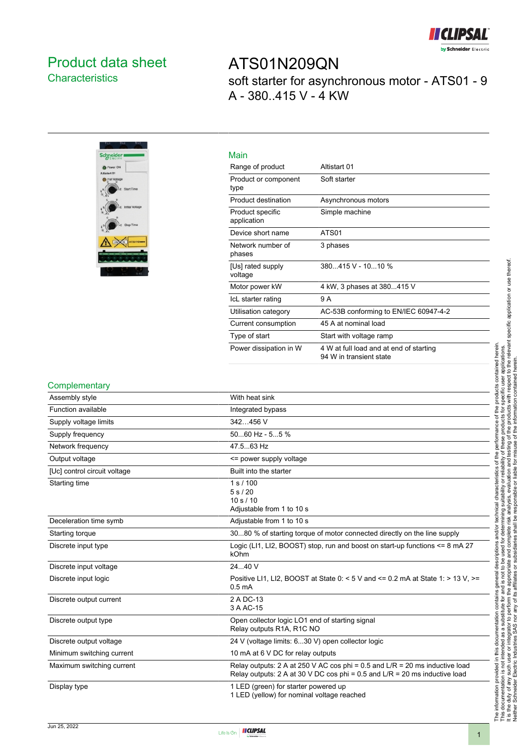

## <span id="page-0-0"></span>Product data sheet **Characteristics**

ATS01N209QN soft starter for asynchronous motor - ATS01 - 9 A - 380..415 V - 4 KW



| Main                            |                                                                    |
|---------------------------------|--------------------------------------------------------------------|
| Range of product                | Altistart 01                                                       |
| Product or component<br>type    | Soft starter                                                       |
| Product destination             | Asynchronous motors                                                |
| Product specific<br>application | Simple machine                                                     |
| Device short name               | ATS01                                                              |
| Network number of<br>phases     | 3 phases                                                           |
| [Us] rated supply<br>voltage    | 380415 V - 1010 %                                                  |
| Motor power kW                  | 4 kW, 3 phases at 380415 V                                         |
| IcL starter rating              | 9 A                                                                |
| Utilisation category            | AC-53B conforming to EN/IEC 60947-4-2                              |
| Current consumption             | 45 A at nominal load                                               |
| Type of start                   | Start with voltage ramp                                            |
| Power dissipation in W          | 4 W at full load and at end of starting<br>94 W in transient state |

#### **Complementary**

| Assembly style               | With heat sink                                                                                                                                                  |
|------------------------------|-----------------------------------------------------------------------------------------------------------------------------------------------------------------|
| Function available           | Integrated bypass                                                                                                                                               |
| Supply voltage limits        | 342456 V                                                                                                                                                        |
| Supply frequency             | $5060$ Hz - $55$ %                                                                                                                                              |
| Network frequency            | 47.563 Hz                                                                                                                                                       |
| Output voltage               | <= power supply voltage                                                                                                                                         |
| [Uc] control circuit voltage | Built into the starter                                                                                                                                          |
| Starting time                | 1 s / 100<br>5 s/20<br>10 s / 10<br>Adjustable from 1 to 10 s                                                                                                   |
| Deceleration time symb       | Adjustable from 1 to 10 s                                                                                                                                       |
| Starting torque              | 3080 % of starting torque of motor connected directly on the line supply                                                                                        |
| Discrete input type          | Logic (LI1, LI2, BOOST) stop, run and boost on start-up functions <= 8 mA 27<br>kOhm                                                                            |
| Discrete input voltage       | 2440 V                                                                                                                                                          |
| Discrete input logic         | Positive LI1, LI2, BOOST at State 0: < 5 V and <= 0.2 mA at State 1: > 13 V. >=<br>0.5 <sub>m</sub> A                                                           |
| Discrete output current      | 2 A DC-13<br>3 A AC-15                                                                                                                                          |
| Discrete output type         | Open collector logic LO1 end of starting signal<br>Relay outputs R1A, R1C NO                                                                                    |
| Discrete output voltage      | 24 V (voltage limits: 630 V) open collector logic                                                                                                               |
| Minimum switching current    | 10 mA at 6 V DC for relay outputs                                                                                                                               |
| Maximum switching current    | Relay outputs: 2 A at 250 V AC cos phi = $0.5$ and $L/R = 20$ ms inductive load<br>Relay outputs: 2 A at 30 V DC cos phi = $0.5$ and L/R = 20 ms inductive load |
| Display type                 | 1 LED (green) for starter powered up<br>1 LED (yellow) for nominal voltage reached                                                                              |

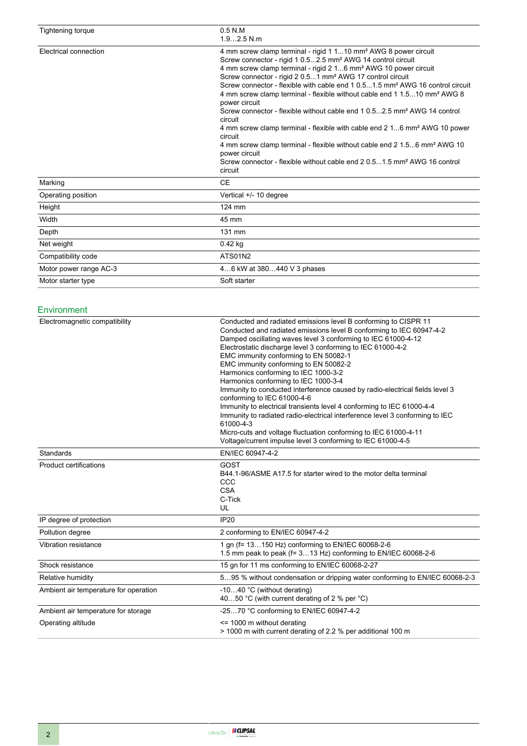| Tightening torque      | $0.5$ N.M<br>$1.92.5$ N.m                                                                                                                                                                                                                                                                                                                                                                                                                                                                                                                                                                                                                                                                                                                                                                                                                                                                                                               |
|------------------------|-----------------------------------------------------------------------------------------------------------------------------------------------------------------------------------------------------------------------------------------------------------------------------------------------------------------------------------------------------------------------------------------------------------------------------------------------------------------------------------------------------------------------------------------------------------------------------------------------------------------------------------------------------------------------------------------------------------------------------------------------------------------------------------------------------------------------------------------------------------------------------------------------------------------------------------------|
| Electrical connection  | 4 mm screw clamp terminal - rigid 1 110 mm <sup>2</sup> AWG 8 power circuit<br>Screw connector - rigid 1 0.52.5 mm <sup>2</sup> AWG 14 control circuit<br>4 mm screw clamp terminal - rigid 2 16 mm <sup>2</sup> AWG 10 power circuit<br>Screw connector - rigid 2 0.51 mm <sup>2</sup> AWG 17 control circuit<br>Screw connector - flexible with cable end 1 0.51.5 mm <sup>2</sup> AWG 16 control circuit<br>4 mm screw clamp terminal - flexible without cable end 1 1.510 mm <sup>2</sup> AWG 8<br>power circuit<br>Screw connector - flexible without cable end 1 0.52.5 mm <sup>2</sup> AWG 14 control<br>circuit<br>4 mm screw clamp terminal - flexible with cable end 2 16 mm <sup>2</sup> AWG 10 power<br>circuit<br>4 mm screw clamp terminal - flexible without cable end 2 1.56 mm <sup>2</sup> AWG 10<br>power circuit<br>Screw connector - flexible without cable end 2 0.51.5 mm <sup>2</sup> AWG 16 control<br>circuit |
| Marking                | <b>CE</b>                                                                                                                                                                                                                                                                                                                                                                                                                                                                                                                                                                                                                                                                                                                                                                                                                                                                                                                               |
| Operating position     | Vertical +/- 10 degree                                                                                                                                                                                                                                                                                                                                                                                                                                                                                                                                                                                                                                                                                                                                                                                                                                                                                                                  |
| Height                 | 124 mm                                                                                                                                                                                                                                                                                                                                                                                                                                                                                                                                                                                                                                                                                                                                                                                                                                                                                                                                  |
| Width                  | 45 mm                                                                                                                                                                                                                                                                                                                                                                                                                                                                                                                                                                                                                                                                                                                                                                                                                                                                                                                                   |
| Depth                  | 131 mm                                                                                                                                                                                                                                                                                                                                                                                                                                                                                                                                                                                                                                                                                                                                                                                                                                                                                                                                  |
| Net weight             | $0.42$ kg                                                                                                                                                                                                                                                                                                                                                                                                                                                                                                                                                                                                                                                                                                                                                                                                                                                                                                                               |
| Compatibility code     | ATS01N2                                                                                                                                                                                                                                                                                                                                                                                                                                                                                                                                                                                                                                                                                                                                                                                                                                                                                                                                 |
| Motor power range AC-3 | 46 kW at 380440 V 3 phases                                                                                                                                                                                                                                                                                                                                                                                                                                                                                                                                                                                                                                                                                                                                                                                                                                                                                                              |
| Motor starter type     | Soft starter                                                                                                                                                                                                                                                                                                                                                                                                                                                                                                                                                                                                                                                                                                                                                                                                                                                                                                                            |

#### Environment

| Electromagnetic compatibility         | Conducted and radiated emissions level B conforming to CISPR 11<br>Conducted and radiated emissions level B conforming to IEC 60947-4-2<br>Damped oscillating waves level 3 conforming to IEC 61000-4-12<br>Electrostatic discharge level 3 conforming to IEC 61000-4-2<br>EMC immunity conforming to EN 50082-1<br>EMC immunity conforming to EN 50082-2<br>Harmonics conforming to IEC 1000-3-2<br>Harmonics conforming to IEC 1000-3-4<br>Immunity to conducted interference caused by radio-electrical fields level 3<br>conforming to IEC 61000-4-6<br>Immunity to electrical transients level 4 conforming to IEC 61000-4-4<br>Immunity to radiated radio-electrical interference level 3 conforming to IEC<br>61000-4-3<br>Micro-cuts and voltage fluctuation conforming to IEC 61000-4-11<br>Voltage/current impulse level 3 conforming to IEC 61000-4-5 |
|---------------------------------------|------------------------------------------------------------------------------------------------------------------------------------------------------------------------------------------------------------------------------------------------------------------------------------------------------------------------------------------------------------------------------------------------------------------------------------------------------------------------------------------------------------------------------------------------------------------------------------------------------------------------------------------------------------------------------------------------------------------------------------------------------------------------------------------------------------------------------------------------------------------|
| Standards                             | EN/IEC 60947-4-2                                                                                                                                                                                                                                                                                                                                                                                                                                                                                                                                                                                                                                                                                                                                                                                                                                                 |
| <b>Product certifications</b>         | GOST<br>B44.1-96/ASME A17.5 for starter wired to the motor delta terminal<br>CCC<br><b>CSA</b><br>C-Tick<br>UL                                                                                                                                                                                                                                                                                                                                                                                                                                                                                                                                                                                                                                                                                                                                                   |
| IP degree of protection               | <b>IP20</b>                                                                                                                                                                                                                                                                                                                                                                                                                                                                                                                                                                                                                                                                                                                                                                                                                                                      |
| Pollution degree                      | 2 conforming to EN/IEC 60947-4-2                                                                                                                                                                                                                                                                                                                                                                                                                                                                                                                                                                                                                                                                                                                                                                                                                                 |
| Vibration resistance                  | 1 gn (f= 13150 Hz) conforming to EN/IEC 60068-2-6<br>1.5 mm peak to peak (f= 313 Hz) conforming to EN/IEC 60068-2-6                                                                                                                                                                                                                                                                                                                                                                                                                                                                                                                                                                                                                                                                                                                                              |
| Shock resistance                      | 15 gn for 11 ms conforming to EN/IEC 60068-2-27                                                                                                                                                                                                                                                                                                                                                                                                                                                                                                                                                                                                                                                                                                                                                                                                                  |
| Relative humidity                     | 595 % without condensation or dripping water conforming to EN/IEC 60068-2-3                                                                                                                                                                                                                                                                                                                                                                                                                                                                                                                                                                                                                                                                                                                                                                                      |
| Ambient air temperature for operation | -1040 °C (without derating)<br>4050 °C (with current derating of 2 % per °C)                                                                                                                                                                                                                                                                                                                                                                                                                                                                                                                                                                                                                                                                                                                                                                                     |
| Ambient air temperature for storage   | -2570 °C conforming to EN/IEC 60947-4-2                                                                                                                                                                                                                                                                                                                                                                                                                                                                                                                                                                                                                                                                                                                                                                                                                          |
| Operating altitude                    | $\le$ 1000 m without derating<br>> 1000 m with current derating of 2.2 % per additional 100 m                                                                                                                                                                                                                                                                                                                                                                                                                                                                                                                                                                                                                                                                                                                                                                    |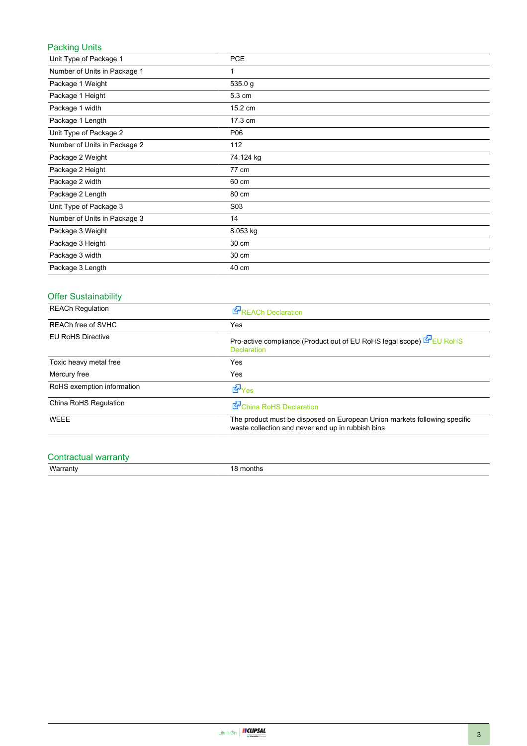#### Packing Units

| Unit Type of Package 1       | <b>PCE</b>       |
|------------------------------|------------------|
| Number of Units in Package 1 | 1                |
| Package 1 Weight             | 535.0 g          |
| Package 1 Height             | 5.3 cm           |
| Package 1 width              | 15.2 cm          |
| Package 1 Length             | 17.3 cm          |
| Unit Type of Package 2       | P06              |
| Number of Units in Package 2 | 112              |
| Package 2 Weight             | 74.124 kg        |
| Package 2 Height             | 77 cm            |
| Package 2 width              | 60 cm            |
| Package 2 Length             | 80 cm            |
| Unit Type of Package 3       | S <sub>0</sub> 3 |
| Number of Units in Package 3 | 14               |
| Package 3 Weight             | 8.053 kg         |
| Package 3 Height             | 30 cm            |
| Package 3 width              | 30 cm            |
| Package 3 Length             | 40 cm            |

### Offer Sustainability

| <b>REACh Regulation</b>    | <b>REACh Declaration</b>                                                                                                       |
|----------------------------|--------------------------------------------------------------------------------------------------------------------------------|
| <b>REACh free of SVHC</b>  | Yes                                                                                                                            |
| <b>EU RoHS Directive</b>   | Pro-active compliance (Product out of EU RoHS legal scope) EU RoHS<br><b>Declaration</b>                                       |
| Toxic heavy metal free     | Yes.                                                                                                                           |
| Mercury free               | Yes                                                                                                                            |
| RoHS exemption information | d Yes                                                                                                                          |
| China RoHS Regulation      | China RoHS Declaration                                                                                                         |
| <b>WEEE</b>                | The product must be disposed on European Union markets following specific<br>waste collection and never end up in rubbish bins |

### Contractual warranty

Warranty 18 months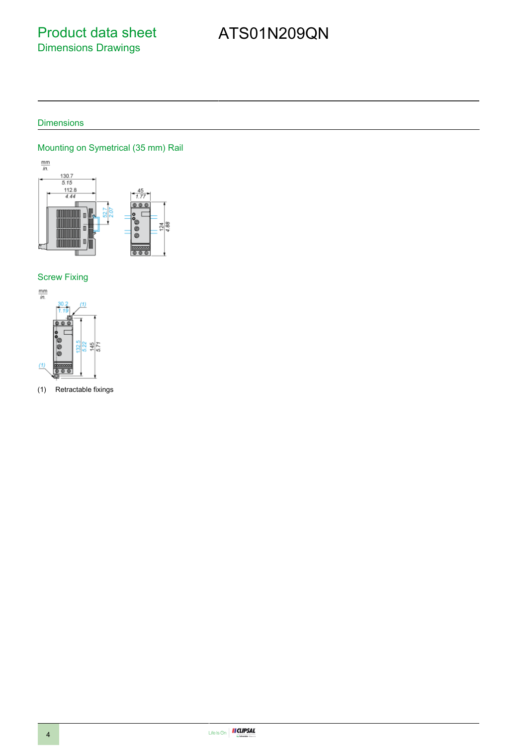## Product data sheet Dimensions Drawings

# ATS01N209QN

#### **Dimensions**

#### Mounting on Symetrical (35 mm) Rail



#### Screw Fixing



(1) Retractable fixings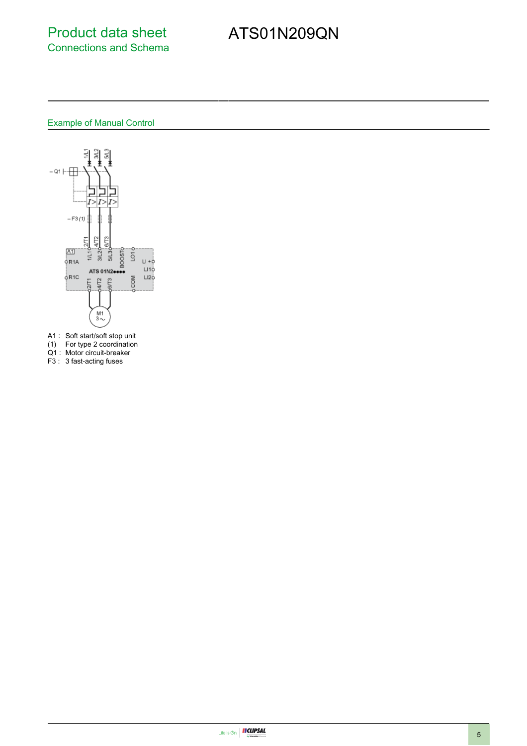## Product data sheet Connections and Schema

# ATS01N209QN

#### Example of Manual Control



- A1 : Soft start/soft stop unit
- (1) For type 2 coordination
- Q1 : Motor circuit-breaker
- F3 : 3 fast-acting fuses